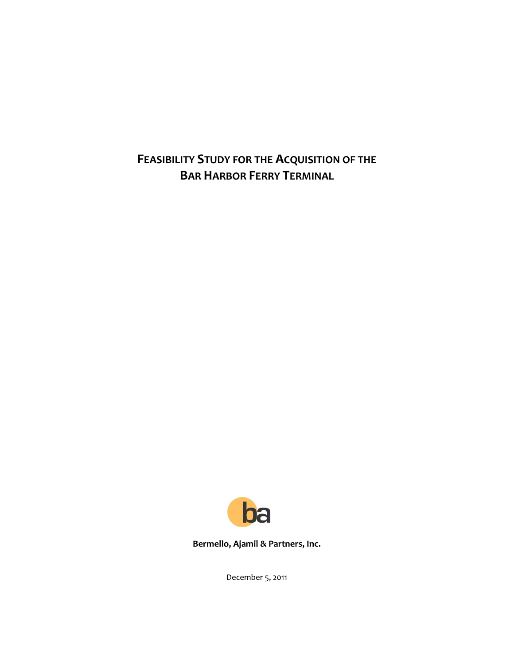**FEASIBILITY STUDY FOR THE ACQUISITION OF THE BAR HARBOR FERRY TERMINAL**



**Bermello, Ajamil & Partners, Inc.**

December 5, 2011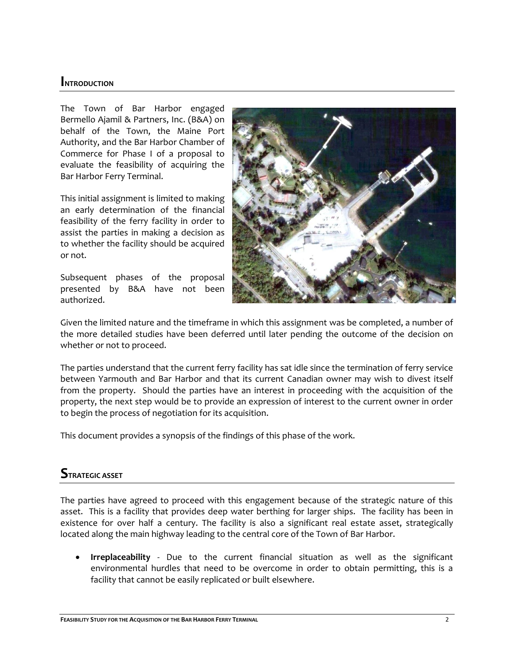### **INTRODUCTION**

The Town of Bar Harbor engaged Bermello Ajamil & Partners, Inc. (B&A) on behalf of the Town, the Maine Port Authority, and the Bar Harbor Chamber of Commerce for Phase I of a proposal to evaluate the feasibility of acquiring the Bar Harbor Ferry Terminal.

This initial assignment is limited to making an early determination of the financial feasibility of the ferry facility in order to assist the parties in making a decision as to whether the facility should be acquired or not.

Subsequent phases of the proposal presented by B&A have not been authorized.



Given the limited nature and the timeframe in which this assignment was be completed, a number of the more detailed studies have been deferred until later pending the outcome of the decision on whether or not to proceed.

The parties understand that the current ferry facility has sat idle since the termination of ferry service between Yarmouth and Bar Harbor and that its current Canadian owner may wish to divest itself from the property. Should the parties have an interest in proceeding with the acquisition of the property, the next step would be to provide an expression of interest to the current owner in order to begin the process of negotiation for its acquisition.

This document provides a synopsis of the findings of this phase of the work.

### **STRATEGIC ASSET**

The parties have agreed to proceed with this engagement because of the strategic nature of this asset. This is a facility that provides deep water berthing for larger ships. The facility has been in existence for over half a century. The facility is also a significant real estate asset, strategically located along the main highway leading to the central core of the Town of Bar Harbor.

 **Irreplaceability** - Due to the current financial situation as well as the significant environmental hurdles that need to be overcome in order to obtain permitting, this is a facility that cannot be easily replicated or built elsewhere.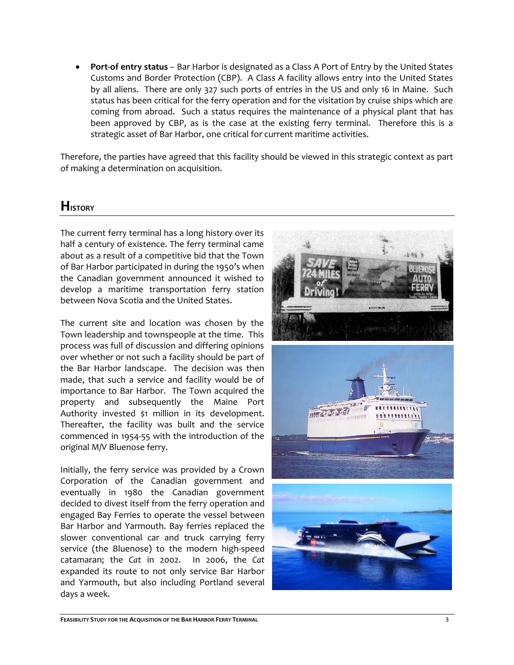**Port-of entry status** – Bar Harbor is designated as a Class A Port of Entry by the United States Customs and Border Protection (CBP). A Class A facility allows entry into the United States by all aliens. There are only 327 such ports of entries in the US and only 16 in Maine. Such status has been critical for the ferry operation and for the visitation by cruise ships which are coming from abroad. Such a status requires the maintenance of a physical plant that has been approved by CBP, as is the case at the existing ferry terminal. Therefore this is a strategic asset of Bar Harbor, one critical for current maritime activities.

Therefore, the parties have agreed that this facility should be viewed in this strategic context as part of making a determination on acquisition.

## **HISTORY**

The current ferry terminal has a long history over its half a century of existence. The ferry terminal came about as a result of a competitive bid that the Town of Bar Harbor participated in during the 1950's when the Canadian government announced it wished to develop a maritime transportation ferry station between Nova Scotia and the United States.

The current site and location was chosen by the Town leadership and townspeople at the time. This process was full of discussion and differing opinions over whether or not such a facility should be part of the Bar Harbor landscape. The decision was then made, that such a service and facility would be of importance to Bar Harbor. The Town acquired the property and subsequently the Maine Port Authority invested \$1 million in its development. Thereafter, the facility was built and the service commenced in 1954-55 with the introduction of the original M/V Bluenose ferry.

Initially, the ferry service was provided by a Crown Corporation of the Canadian government and eventually in 1980 the Canadian government decided to divest itself from the ferry operation and engaged Bay Ferries to operate the vessel between Bar Harbor and Yarmouth. Bay ferries replaced the slower conventional car and truck carrying ferry service (the Bluenose) to the modern high-speed catamaran; the *Cat* in 2002. In 2006, the *Cat* expanded its route to not only service Bar Harbor and Yarmouth, but also including Portland several days a week.

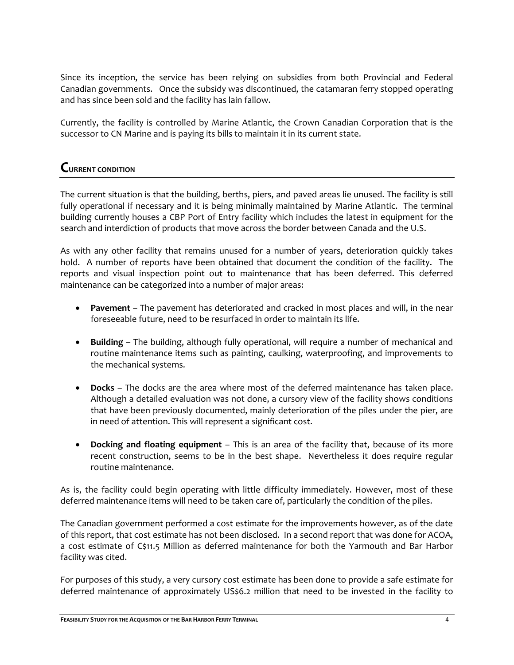Since its inception, the service has been relying on subsidies from both Provincial and Federal Canadian governments. Once the subsidy was discontinued, the catamaran ferry stopped operating and has since been sold and the facility has lain fallow.

Currently, the facility is controlled by Marine Atlantic, the Crown Canadian Corporation that is the successor to CN Marine and is paying its bills to maintain it in its current state.

## **CURRENT CONDITION**

The current situation is that the building, berths, piers, and paved areas lie unused. The facility is still fully operational if necessary and it is being minimally maintained by Marine Atlantic. The terminal building currently houses a CBP Port of Entry facility which includes the latest in equipment for the search and interdiction of products that move across the border between Canada and the U.S.

As with any other facility that remains unused for a number of years, deterioration quickly takes hold. A number of reports have been obtained that document the condition of the facility. The reports and visual inspection point out to maintenance that has been deferred. This deferred maintenance can be categorized into a number of major areas:

- **Pavement**  The pavement has deteriorated and cracked in most places and will, in the near foreseeable future, need to be resurfaced in order to maintain its life.
- **Building** The building, although fully operational, will require a number of mechanical and routine maintenance items such as painting, caulking, waterproofing, and improvements to the mechanical systems.
- **Docks** The docks are the area where most of the deferred maintenance has taken place. Although a detailed evaluation was not done, a cursory view of the facility shows conditions that have been previously documented, mainly deterioration of the piles under the pier, are in need of attention. This will represent a significant cost.
- **Docking and floating equipment** This is an area of the facility that, because of its more recent construction, seems to be in the best shape. Nevertheless it does require regular routine maintenance.

As is, the facility could begin operating with little difficulty immediately. However, most of these deferred maintenance items will need to be taken care of, particularly the condition of the piles.

The Canadian government performed a cost estimate for the improvements however, as of the date of this report, that cost estimate has not been disclosed. In a second report that was done for ACOA, a cost estimate of C\$11.5 Million as deferred maintenance for both the Yarmouth and Bar Harbor facility was cited.

For purposes of this study, a very cursory cost estimate has been done to provide a safe estimate for deferred maintenance of approximately US\$6.2 million that need to be invested in the facility to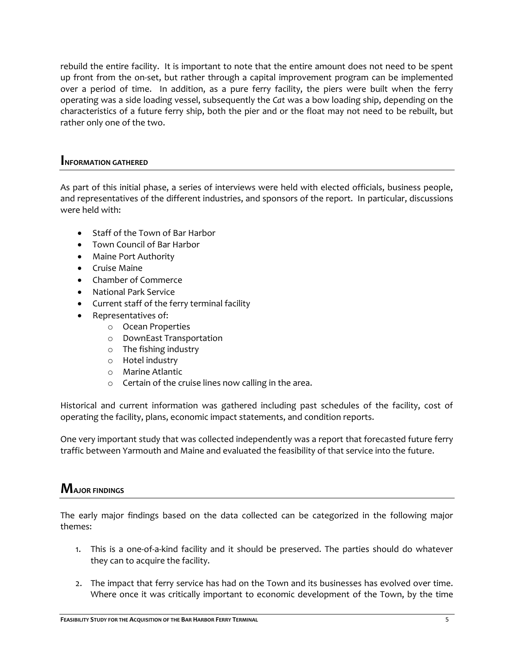rebuild the entire facility. It is important to note that the entire amount does not need to be spent up front from the on-set, but rather through a capital improvement program can be implemented over a period of time. In addition, as a pure ferry facility, the piers were built when the ferry operating was a side loading vessel, subsequently the *Cat* was a bow loading ship, depending on the characteristics of a future ferry ship, both the pier and or the float may not need to be rebuilt, but rather only one of the two.

### **INFORMATION GATHERED**

As part of this initial phase, a series of interviews were held with elected officials, business people, and representatives of the different industries, and sponsors of the report. In particular, discussions were held with:

- Staff of the Town of Bar Harbor
- Town Council of Bar Harbor
- Maine Port Authority
- **•** Cruise Maine
- Chamber of Commerce
- National Park Service
- Current staff of the ferry terminal facility
- Representatives of:
	- o Ocean Properties
	- o DownEast Transportation
	- o The fishing industry
	- o Hotel industry
	- o Marine Atlantic
	- o Certain of the cruise lines now calling in the area.

Historical and current information was gathered including past schedules of the facility, cost of operating the facility, plans, economic impact statements, and condition reports.

One very important study that was collected independently was a report that forecasted future ferry traffic between Yarmouth and Maine and evaluated the feasibility of that service into the future.

# **MAJOR FINDINGS**

The early major findings based on the data collected can be categorized in the following major themes:

- 1. This is a one-of-a-kind facility and it should be preserved. The parties should do whatever they can to acquire the facility.
- 2. The impact that ferry service has had on the Town and its businesses has evolved over time. Where once it was critically important to economic development of the Town, by the time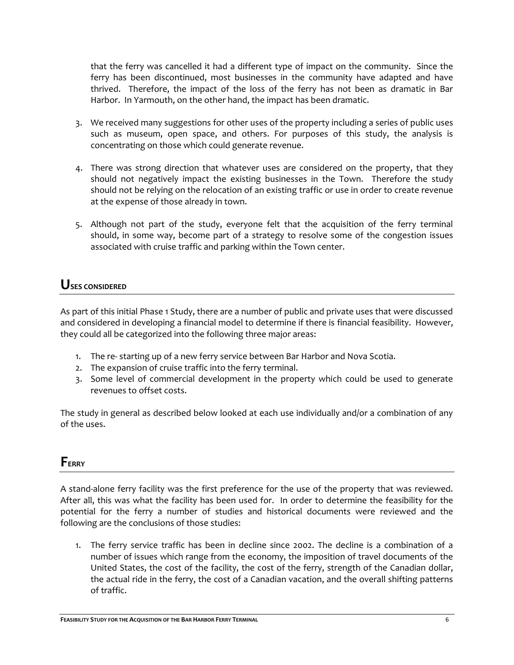that the ferry was cancelled it had a different type of impact on the community. Since the ferry has been discontinued, most businesses in the community have adapted and have thrived. Therefore, the impact of the loss of the ferry has not been as dramatic in Bar Harbor. In Yarmouth, on the other hand, the impact has been dramatic.

- 3. We received many suggestions for other uses of the property including a series of public uses such as museum, open space, and others. For purposes of this study, the analysis is concentrating on those which could generate revenue.
- 4. There was strong direction that whatever uses are considered on the property, that they should not negatively impact the existing businesses in the Town. Therefore the study should not be relying on the relocation of an existing traffic or use in order to create revenue at the expense of those already in town.
- 5. Although not part of the study, everyone felt that the acquisition of the ferry terminal should, in some way, become part of a strategy to resolve some of the congestion issues associated with cruise traffic and parking within the Town center.

## **USES CONSIDERED**

As part of this initial Phase 1 Study, there are a number of public and private uses that were discussed and considered in developing a financial model to determine if there is financial feasibility. However, they could all be categorized into the following three major areas:

- 1. The re- starting up of a new ferry service between Bar Harbor and Nova Scotia.
- 2. The expansion of cruise traffic into the ferry terminal.
- 3. Some level of commercial development in the property which could be used to generate revenues to offset costs.

The study in general as described below looked at each use individually and/or a combination of any of the uses.

## **FERRY**

A stand-alone ferry facility was the first preference for the use of the property that was reviewed. After all, this was what the facility has been used for. In order to determine the feasibility for the potential for the ferry a number of studies and historical documents were reviewed and the following are the conclusions of those studies:

1. The ferry service traffic has been in decline since 2002. The decline is a combination of a number of issues which range from the economy, the imposition of travel documents of the United States, the cost of the facility, the cost of the ferry, strength of the Canadian dollar, the actual ride in the ferry, the cost of a Canadian vacation, and the overall shifting patterns of traffic.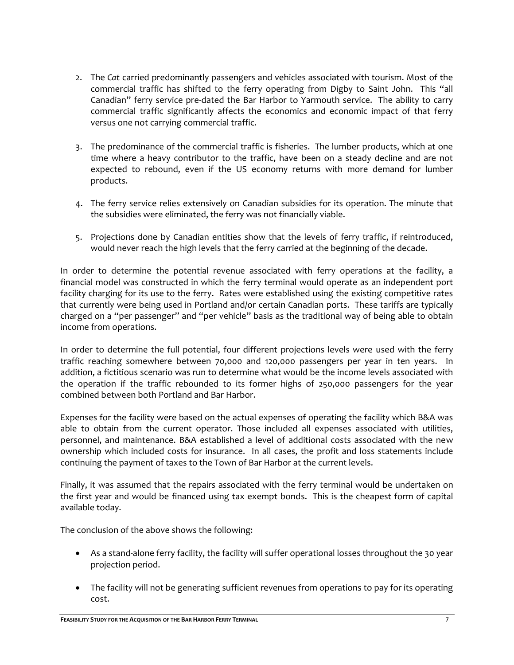- 2. The *Cat* carried predominantly passengers and vehicles associated with tourism. Most of the commercial traffic has shifted to the ferry operating from Digby to Saint John. This "all Canadian" ferry service pre-dated the Bar Harbor to Yarmouth service. The ability to carry commercial traffic significantly affects the economics and economic impact of that ferry versus one not carrying commercial traffic.
- 3. The predominance of the commercial traffic is fisheries. The lumber products, which at one time where a heavy contributor to the traffic, have been on a steady decline and are not expected to rebound, even if the US economy returns with more demand for lumber products.
- 4. The ferry service relies extensively on Canadian subsidies for its operation. The minute that the subsidies were eliminated, the ferry was not financially viable.
- 5. Projections done by Canadian entities show that the levels of ferry traffic, if reintroduced, would never reach the high levels that the ferry carried at the beginning of the decade.

In order to determine the potential revenue associated with ferry operations at the facility, a financial model was constructed in which the ferry terminal would operate as an independent port facility charging for its use to the ferry. Rates were established using the existing competitive rates that currently were being used in Portland and/or certain Canadian ports. These tariffs are typically charged on a "per passenger" and "per vehicle" basis as the traditional way of being able to obtain income from operations.

In order to determine the full potential, four different projections levels were used with the ferry traffic reaching somewhere between 70,000 and 120,000 passengers per year in ten years. In addition, a fictitious scenario was run to determine what would be the income levels associated with the operation if the traffic rebounded to its former highs of 250,000 passengers for the year combined between both Portland and Bar Harbor.

Expenses for the facility were based on the actual expenses of operating the facility which B&A was able to obtain from the current operator. Those included all expenses associated with utilities, personnel, and maintenance. B&A established a level of additional costs associated with the new ownership which included costs for insurance. In all cases, the profit and loss statements include continuing the payment of taxes to the Town of Bar Harbor at the current levels.

Finally, it was assumed that the repairs associated with the ferry terminal would be undertaken on the first year and would be financed using tax exempt bonds. This is the cheapest form of capital available today.

The conclusion of the above shows the following:

- As a stand-alone ferry facility, the facility will suffer operational losses throughout the 30 year projection period.
- The facility will not be generating sufficient revenues from operations to pay for its operating cost.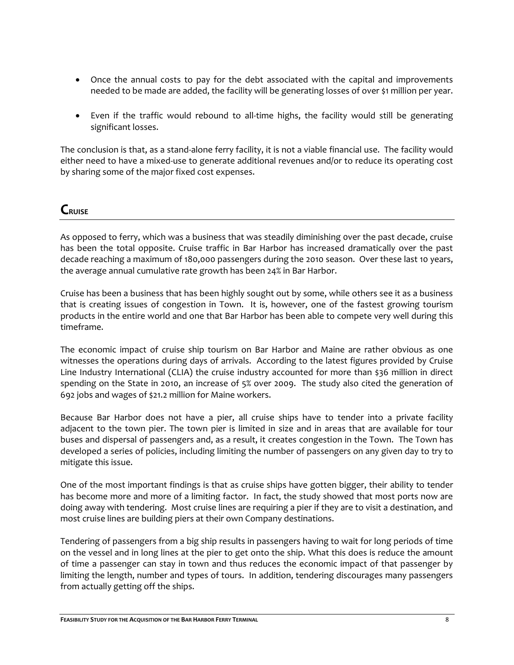- Once the annual costs to pay for the debt associated with the capital and improvements needed to be made are added, the facility will be generating losses of over \$1 million per year.
- Even if the traffic would rebound to all-time highs, the facility would still be generating significant losses.

The conclusion is that, as a stand-alone ferry facility, it is not a viable financial use. The facility would either need to have a mixed-use to generate additional revenues and/or to reduce its operating cost by sharing some of the major fixed cost expenses.

## **CRUISE**

As opposed to ferry, which was a business that was steadily diminishing 0ver the past decade, cruise has been the total opposite. Cruise traffic in Bar Harbor has increased dramatically over the past decade reaching a maximum of 180,000 passengers during the 2010 season. Over these last 10 years, the average annual cumulative rate growth has been 24% in Bar Harbor.

Cruise has been a business that has been highly sought out by some, while others see it as a business that is creating issues of congestion in Town. It is, however, one of the fastest growing tourism products in the entire world and one that Bar Harbor has been able to compete very well during this timeframe.

The economic impact of cruise ship tourism on Bar Harbor and Maine are rather obvious as one witnesses the operations during days of arrivals. According to the latest figures provided by Cruise Line Industry International (CLIA) the cruise industry accounted for more than \$36 million in direct spending on the State in 2010, an increase of 5% over 2009. The study also cited the generation of 692 jobs and wages of \$21.2 million for Maine workers.

Because Bar Harbor does not have a pier, all cruise ships have to tender into a private facility adjacent to the town pier. The town pier is limited in size and in areas that are available for tour buses and dispersal of passengers and, as a result, it creates congestion in the Town. The Town has developed a series of policies, including limiting the number of passengers on any given day to try to mitigate this issue.

One of the most important findings is that as cruise ships have gotten bigger, their ability to tender has become more and more of a limiting factor. In fact, the study showed that most ports now are doing away with tendering. Most cruise lines are requiring a pier if they are to visit a destination, and most cruise lines are building piers at their own Company destinations.

Tendering of passengers from a big ship results in passengers having to wait for long periods of time on the vessel and in long lines at the pier to get onto the ship. What this does is reduce the amount of time a passenger can stay in town and thus reduces the economic impact of that passenger by limiting the length, number and types of tours. In addition, tendering discourages many passengers from actually getting off the ships.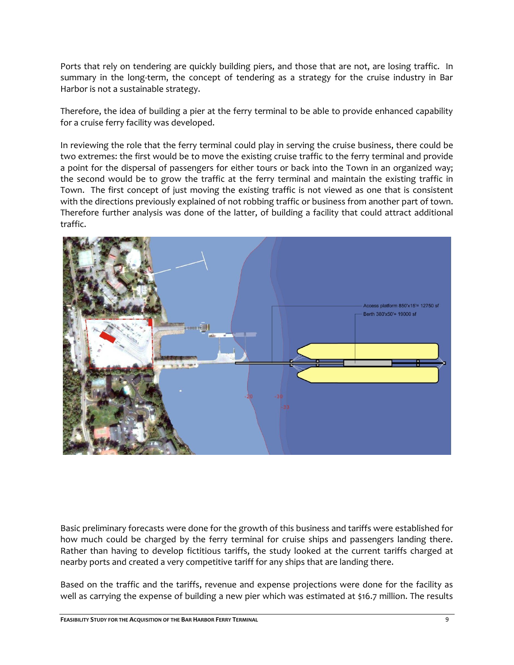Ports that rely on tendering are quickly building piers, and those that are not, are losing traffic. In summary in the long-term, the concept of tendering as a strategy for the cruise industry in Bar Harbor is not a sustainable strategy.

Therefore, the idea of building a pier at the ferry terminal to be able to provide enhanced capability for a cruise ferry facility was developed.

In reviewing the role that the ferry terminal could play in serving the cruise business, there could be two extremes: the first would be to move the existing cruise traffic to the ferry terminal and provide a point for the dispersal of passengers for either tours or back into the Town in an organized way; the second would be to grow the traffic at the ferry terminal and maintain the existing traffic in Town. The first concept of just moving the existing traffic is not viewed as one that is consistent with the directions previously explained of not robbing traffic or business from another part of town. Therefore further analysis was done of the latter, of building a facility that could attract additional traffic.



Basic preliminary forecasts were done for the growth of this business and tariffs were established for how much could be charged by the ferry terminal for cruise ships and passengers landing there. Rather than having to develop fictitious tariffs, the study looked at the current tariffs charged at nearby ports and created a very competitive tariff for any ships that are landing there.

Based on the traffic and the tariffs, revenue and expense projections were done for the facility as well as carrying the expense of building a new pier which was estimated at \$16.7 million. The results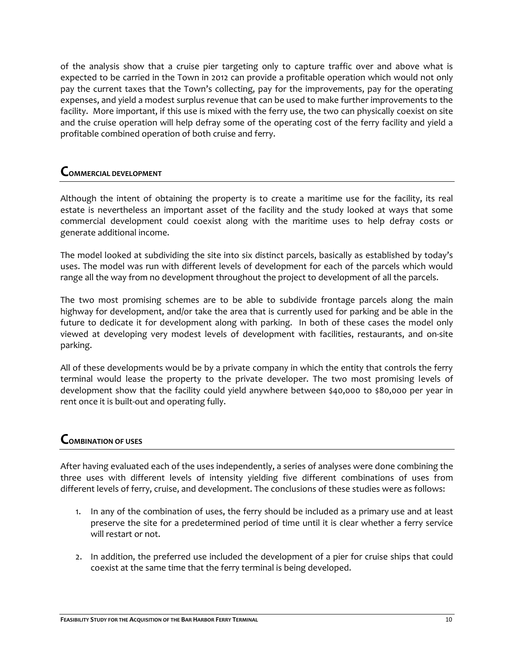of the analysis show that a cruise pier targeting only to capture traffic over and above what is expected to be carried in the Town in 2012 can provide a profitable operation which would not only pay the current taxes that the Town's collecting, pay for the improvements, pay for the operating expenses, and yield a modest surplus revenue that can be used to make further improvements to the facility. More important, if this use is mixed with the ferry use, the two can physically coexist on site and the cruise operation will help defray some of the operating cost of the ferry facility and yield a profitable combined operation of both cruise and ferry.

### **COMMERCIAL DEVELOPMENT**

Although the intent of obtaining the property is to create a maritime use for the facility, its real estate is nevertheless an important asset of the facility and the study looked at ways that some commercial development could coexist along with the maritime uses to help defray costs or generate additional income.

The model looked at subdividing the site into six distinct parcels, basically as established by today's uses. The model was run with different levels of development for each of the parcels which would range all the way from no development throughout the project to development of all the parcels.

The two most promising schemes are to be able to subdivide frontage parcels along the main highway for development, and/or take the area that is currently used for parking and be able in the future to dedicate it for development along with parking. In both of these cases the model only viewed at developing very modest levels of development with facilities, restaurants, and on-site parking.

All of these developments would be by a private company in which the entity that controls the ferry terminal would lease the property to the private developer. The two most promising levels of development show that the facility could yield anywhere between \$40,000 to \$80,000 per year in rent once it is built-out and operating fully.

### **COMBINATION OF USES**

After having evaluated each of the uses independently, a series of analyses were done combining the three uses with different levels of intensity yielding five different combinations of uses from different levels of ferry, cruise, and development. The conclusions of these studies were as follows:

- 1. In any of the combination of uses, the ferry should be included as a primary use and at least preserve the site for a predetermined period of time until it is clear whether a ferry service will restart or not.
- 2. In addition, the preferred use included the development of a pier for cruise ships that could coexist at the same time that the ferry terminal is being developed.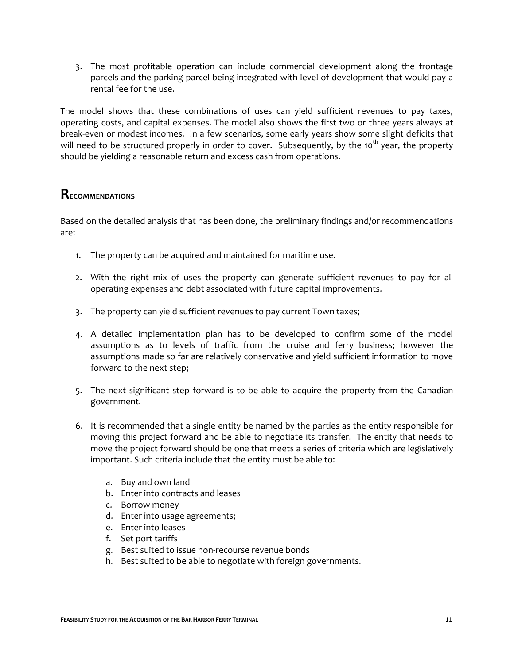3. The most profitable operation can include commercial development along the frontage parcels and the parking parcel being integrated with level of development that would pay a rental fee for the use.

The model shows that these combinations of uses can yield sufficient revenues to pay taxes, operating costs, and capital expenses. The model also shows the first two or three years always at break-even or modest incomes. In a few scenarios, some early years show some slight deficits that will need to be structured properly in order to cover. Subsequently, by the 10<sup>th</sup> year, the property should be yielding a reasonable return and excess cash from operations.

### **RECOMMENDATIONS**

Based on the detailed analysis that has been done, the preliminary findings and/or recommendations are:

- 1. The property can be acquired and maintained for maritime use.
- 2. With the right mix of uses the property can generate sufficient revenues to pay for all operating expenses and debt associated with future capital improvements.
- 3. The property can yield sufficient revenues to pay current Town taxes;
- 4. A detailed implementation plan has to be developed to confirm some of the model assumptions as to levels of traffic from the cruise and ferry business; however the assumptions made so far are relatively conservative and yield sufficient information to move forward to the next step;
- 5. The next significant step forward is to be able to acquire the property from the Canadian government.
- 6. It is recommended that a single entity be named by the parties as the entity responsible for moving this project forward and be able to negotiate its transfer. The entity that needs to move the project forward should be one that meets a series of criteria which are legislatively important. Such criteria include that the entity must be able to:
	- a. Buy and own land
	- b. Enter into contracts and leases
	- c. Borrow money
	- d. Enter into usage agreements;
	- e. Enter into leases
	- f. Set port tariffs
	- g. Best suited to issue non-recourse revenue bonds
	- h. Best suited to be able to negotiate with foreign governments.